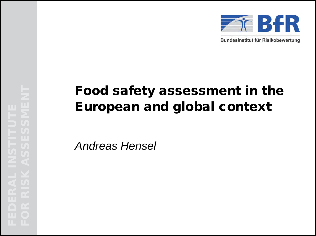

Bundesinstitut für Risikobewertung

# Food safety assessment in the European and global context

*Andreas Hensel*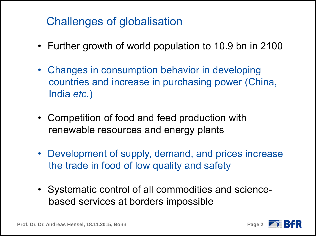## Challenges of globalisation

- Further growth of world population to 10.9 bn in 2100
- Changes in consumption behavior in developing countries and increase in purchasing power (China, India *etc.*)
- Competition of food and feed production with renewable resources and energy plants
- Development of supply, demand, and prices increase the trade in food of low quality and safety
- Systematic control of all commodities and science based services at borders impossible

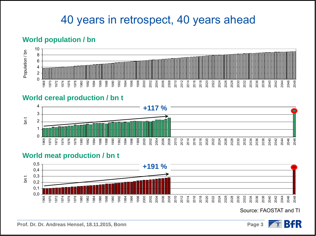#### 40 years in retrospect, 40 years ahead

#### **World population / bn**



#### **World cereal production / bn t**



#### **World meat production / bn t**



Source: FAOSTAT and TI

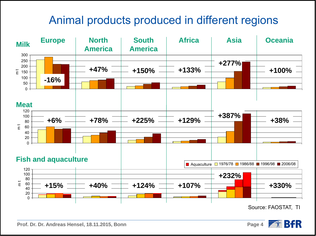## Animal products produced in different regions



Source: FAOSTAT, TI

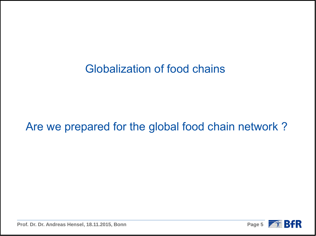#### Globalization of food chains

#### Are we prepared for the global food chain network ?



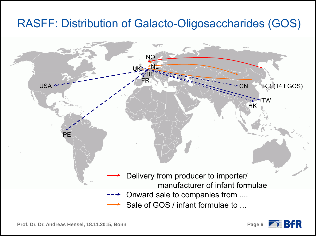#### RASFF: Distribution of Galacto-Oligosaccharides (GOS)





 $\rightarrow$   $\epsilon$  BfR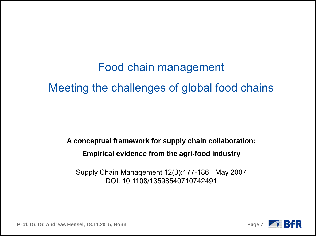Food chain management Meeting the challenges of global food chains

**A conceptual framework for supply chain collaboration: Empirical evidence from the agri-food industry**

Supply Chain Management 12(3):177-186 · May 2007 DOI: 10.1108/13598540710742491



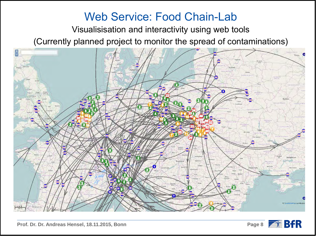#### Web Service: Food Chain-Lab

Visualisisation and interactivity using web tools

(Currently planned project to monitor the spread of contaminations)



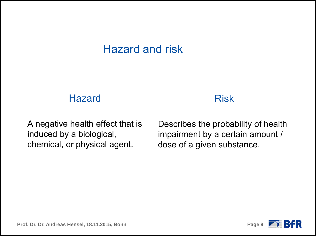#### Hazard and risk

#### **Hazard**

#### Risk

A negative health effect that is induced by a biological, chemical, or physical agent.

Describes the probability of health impairment by a certain amount / dose of a given substance.

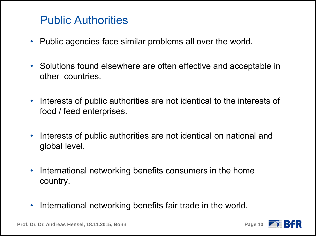#### Public Authorities

- Public agencies face similar problems all over the world.
- Solutions found elsewhere are often effective and acceptable in other countries.
- Interests of public authorities are not identical to the interests of food / feed enterprises.
- Interests of public authorities are not identical on national and global level.
- International networking benefits consumers in the home country.
- International networking benefits fair trade in the world.

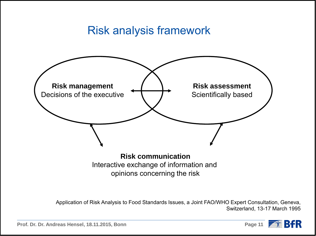#### Risk analysis framework



opinions concerning the risk

Application of Risk Analysis to Food Standards Issues, a Joint FAO/WHO Expert Consultation, Geneva, Switzerland, 13-17 March 1995

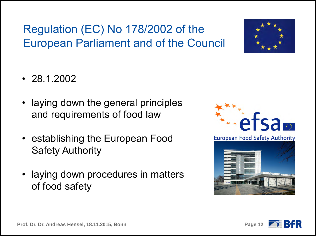# Regulation (EC) No 178/2002 of the European Parliament and of the Council



- 28.1.2002
- laying down the general principles and requirements of food law
- establishing the European Food Safety Authority
- laying down procedures in matters of food safety



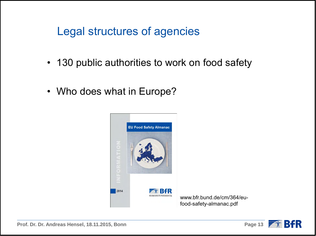#### Legal structures of agencies

- 130 public authorities to work on food safety
- Who does what in Europe?



www.bfr.bund.de/cm/364/eufood-safety-almanac.pdf





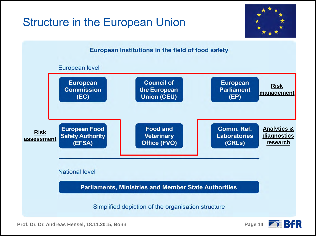## Structure in the European Union





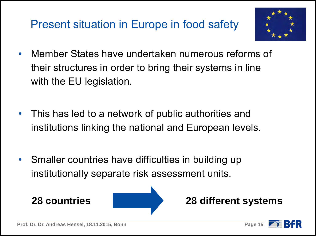# Present situation in Europe in food safety



- Member States have undertaken numerous reforms of their structures in order to bring their systems in line with the EU legislation.
- This has led to a network of public authorities and institutions linking the national and European levels.
- Smaller countries have difficulties in building up institutionally separate risk assessment units.



#### **28 countries 28 different systems**



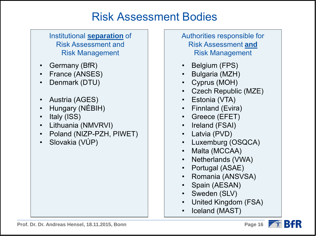#### Risk Assessment Bodies

#### Institutional **separation** of Risk Assessment and Risk Management

- Germany (BfR)
- France (ANSES)
- Denmark (DTU)
- Austria (AGES)
- Hungary (NÉBIH)
- Italy (ISS)
- Lithuania (NMVRVI)
- Poland (NIZP-PZH, PIWET)
- Slovakia (VÚP)

Authorities responsible for Risk Assessment **and** Risk Management

- Belgium (FPS)
- Bulgaria (MZH)
- Cyprus (MOH)
- Czech Republic (MZE)
- Estonia (VTA)
- Finnland (Evira)
- Greece (EFET)
- Ireland (FSAI)
- Latvia (PVD)
- Luxemburg (OSQCA)
- Malta (MCCAA)
- Netherlands (VWA)
- Portugal (ASAE)
- Romania (ANSVSA)
- Spain (AESAN)
- Sweden (SLV)
- United Kingdom (FSA)
- Iceland (MAST)

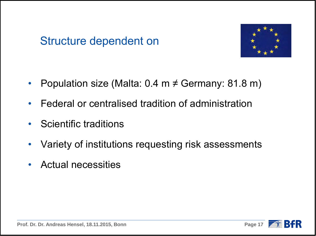#### Structure dependent on



- Population size (Malta:  $0.4 \text{ m} \neq \text{Germany: } 81.8 \text{ m}$ )
- Federal or centralised tradition of administration
- Scientific traditions
- Variety of institutions requesting risk assessments
- Actual necessities



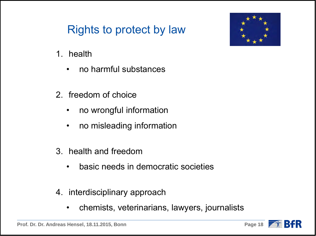# Rights to protect by law

- 1. health
	- no harmful substances
- 2. freedom of choice
	- no wrongful information
	- no misleading information
- 3. health and freedom
	- basic needs in democratic societies
- 4. interdisciplinary approach
	- chemists, veterinarians, lawyers, journalists





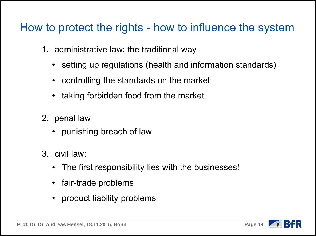#### How to protect the rights - how to influence the system

- 1. administrative law: the traditional way
	- setting up regulations (health and information standards)
	- controlling the standards on the market
	- taking forbidden food from the market
- 2. penal law
	- punishing breach of law
- 3. civil law:
	- The first responsibility lies with the businesses!
	- fair-trade problems
	- product liability problems

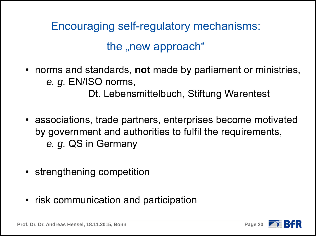Encouraging self-regulatory mechanisms: the "new approach"

• norms and standards, **not** made by parliament or ministries, *e. g.* EN/ISO norms,

Dt. Lebensmittelbuch, Stiftung Warentest

- associations, trade partners, enterprises become motivated by government and authorities to fulfil the requirements, *e. g.* QS in Germany
- strengthening competition
- risk communication and participation

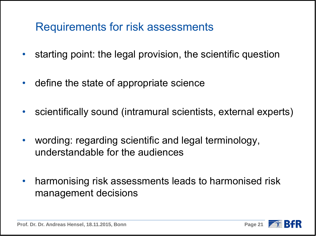#### Requirements for risk assessments

- starting point: the legal provision, the scientific question
- define the state of appropriate science
- scientifically sound (intramural scientists, external experts)
- wording: regarding scientific and legal terminology, understandable for the audiences
- harmonising risk assessments leads to harmonised risk management decisions

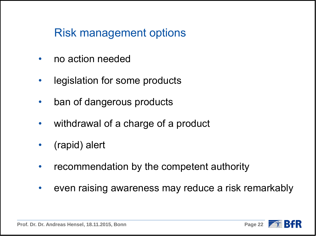#### Risk management options

- no action needed
- legislation for some products
- ban of dangerous products
- withdrawal of a charge of a product
- (rapid) alert
- recommendation by the competent authority
- even raising awareness may reduce a risk remarkably

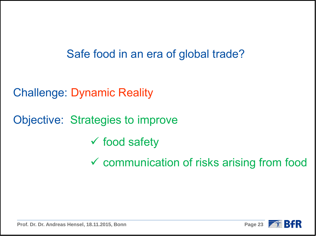### Safe food in an era of global trade?

Challenge: Dynamic Reality

Objective: Strategies to improve

- $\checkmark$  food safety
- communication of risks arising from food



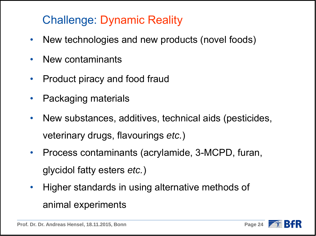# Challenge: Dynamic Reality

- New technologies and new products (novel foods)
- New contaminants
- Product piracy and food fraud
- Packaging materials
- New substances, additives, technical aids (pesticides, veterinary drugs, flavourings *etc.*)
- Process contaminants (acrylamide, 3-MCPD, furan, glycidol fatty esters *etc.*)
- Higher standards in using alternative methods of animal experiments

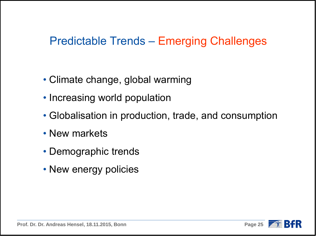#### Predictable Trends – Emerging Challenges

- Climate change, global warming
- Increasing world population
- Globalisation in production, trade, and consumption
- New markets
- Demographic trends
- New energy policies

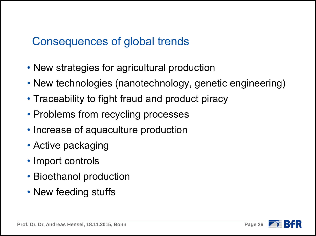#### Consequences of global trends

- New strategies for agricultural production
- New technologies (nanotechnology, genetic engineering)
- Traceability to fight fraud and product piracy
- Problems from recycling processes
- Increase of aquaculture production
- Active packaging
- Import controls
- Bioethanol production
- New feeding stuffs

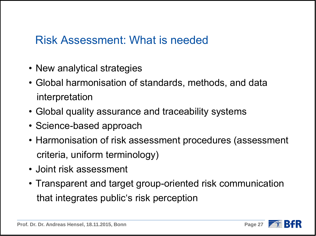#### Risk Assessment: What is needed

- New analytical strategies
- Global harmonisation of standards, methods, and data interpretation
- Global quality assurance and traceability systems
- Science-based approach
- Harmonisation of risk assessment procedures (assessment criteria, uniform terminology)
- Joint risk assessment
- Transparent and target group-oriented risk communication that integrates public's risk perception

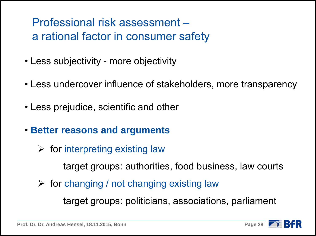### Professional risk assessment – a rational factor in consumer safety

- Less subjectivity more objectivity
- Less undercover influence of stakeholders, more transparency
- Less prejudice, scientific and other
- **Better reasons and arguments**
	- $\triangleright$  for interpreting existing law

target groups: authorities, food business, law courts

 $\triangleright$  for changing / not changing existing law

target groups: politicians, associations, parliament

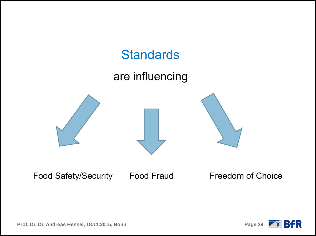

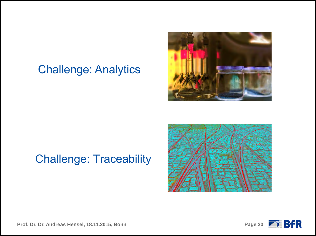#### Challenge: Analytics



## Challenge: Traceability



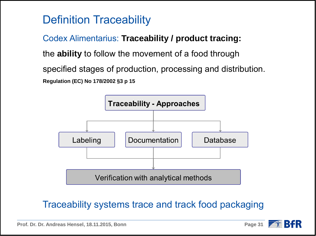# Definition Traceability

Codex Alimentarius: **Traceability / product tracing:**  the **ability** to follow the movement of a food through specified stages of production, processing and distribution. **Regulation (EC) No 178/2002 §3 p 15**



#### Traceability systems trace and track food packaging

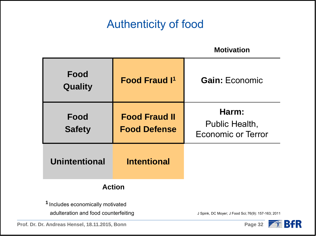## Authenticity of food

**Motivation**

| Food<br>Quality                              | <b>Food Fraud I<sup>1</sup></b>             | <b>Gain: Economic</b>                                |
|----------------------------------------------|---------------------------------------------|------------------------------------------------------|
| Food<br><b>Safety</b>                        | <b>Food Fraud II</b><br><b>Food Defense</b> | Harm:<br>Public Health,<br><b>Economic or Terror</b> |
| <b>Unintentional</b>                         | <b>Intentional</b>                          |                                                      |
| <b>Action</b>                                |                                             |                                                      |
| <sup>1</sup> Includes economically motivated |                                             |                                                      |

adulteration and food counterfeiting and J Spink, DC Moyer; J Food Sci; 76(9): 157-163; 2011

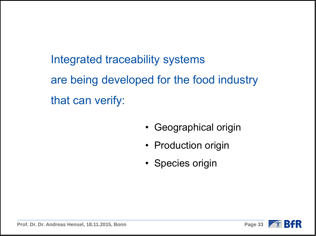Integrated traceability systems are being developed for the food industry that can verify:

- Geographical origin
- Production origin
- Species origin



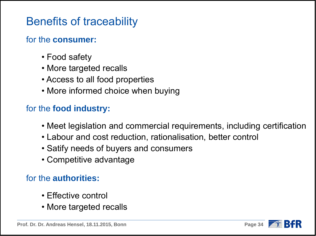#### Benefits of traceability

#### for the **consumer:**

- Food safety
- More targeted recalls
- Access to all food properties
- More informed choice when buying

#### for the **food industry:**

- Meet legislation and commercial requirements, including certification
- Labour and cost reduction, rationalisation, better control
- Satify needs of buyers and consumers
- Competitive advantage

#### for the **authorities:**

- Effective control
- More targeted recalls

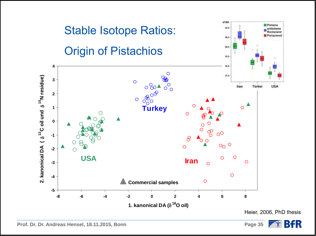

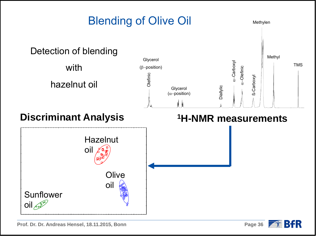

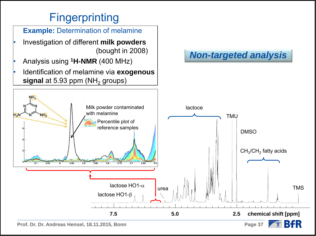